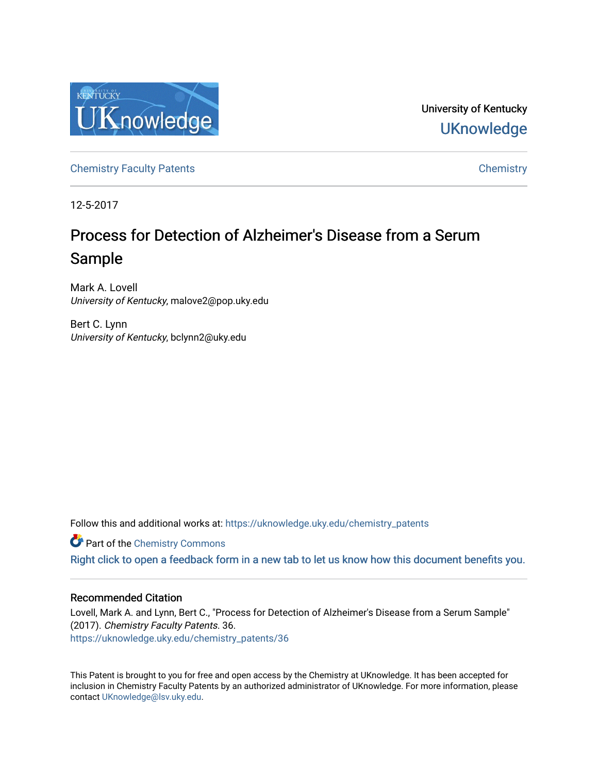

University of Kentucky **UKnowledge** 

[Chemistry Faculty Patents](https://uknowledge.uky.edu/chemistry_patents) **Chemistry** Chemistry

12-5-2017

# Process for Detection of Alzheimer's Disease from a Serum Sample

Mark A. Lovell University of Kentucky, malove2@pop.uky.edu

Bert C. Lynn University of Kentucky, bclynn2@uky.edu

Follow this and additional works at: [https://uknowledge.uky.edu/chemistry\\_patents](https://uknowledge.uky.edu/chemistry_patents?utm_source=uknowledge.uky.edu%2Fchemistry_patents%2F36&utm_medium=PDF&utm_campaign=PDFCoverPages)

**C** Part of the Chemistry Commons

[Right click to open a feedback form in a new tab to let us know how this document benefits you.](https://uky.az1.qualtrics.com/jfe/form/SV_9mq8fx2GnONRfz7)

# Recommended Citation

Lovell, Mark A. and Lynn, Bert C., "Process for Detection of Alzheimer's Disease from a Serum Sample" (2017). Chemistry Faculty Patents. 36. [https://uknowledge.uky.edu/chemistry\\_patents/36](https://uknowledge.uky.edu/chemistry_patents/36?utm_source=uknowledge.uky.edu%2Fchemistry_patents%2F36&utm_medium=PDF&utm_campaign=PDFCoverPages) 

This Patent is brought to you for free and open access by the Chemistry at UKnowledge. It has been accepted for inclusion in Chemistry Faculty Patents by an authorized administrator of UKnowledge. For more information, please contact [UKnowledge@lsv.uky.edu](mailto:UKnowledge@lsv.uky.edu).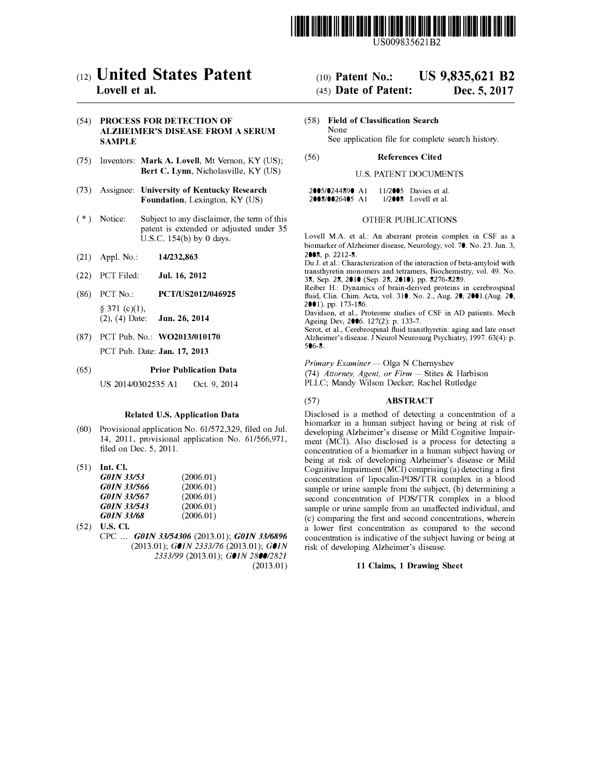

US009835621B2

# c12) **United States Patent**

# **Lovell et al.**

### (54) PROCESS FOR DETECTION OF ALZHEIMER'S DISEASE FROM A SERUM SAMPLE

- (75) Inventors: Mark A. Lovell, Mt Vernon, KY (US); Bert C. Lynn, Nicholasville, KY (US)
- (73) Assignee: University of Kentucky Research Foundation, Lexington, KY (US)
- $(*)$  Notice: Subject to any disclaimer, the term of this patent is extended or adjusted under 35 U.S.C. 154(b) by O days.
- (21) Appl. No.: 14/232,863
- (22) PCT Filed: Jul. 16, 2012
- (86) PCT No.: PCT/US2012/046925  $§$  371 (c)(1),  $(2)$ ,  $(4)$  Date: **Jun. 26, 2014**
- (87) PCT Pub. No.: W02013/010170 PCT Pub. Date: Jan. 17, 2013

#### (65) Prior Publication Data

US 2014/0302535 Al Oct. 9, 2014

#### Related U.S. Application Data

- (60) Provisional application No. 61/572,329, filed on Jul. 14, 2011, provisional application No. 61/566,971, filed on Dec. 5, 2011.
- (51) Int. Cl.

| G01N 33/53  | (2006.01) |
|-------------|-----------|
| G01N 33/566 | (2006.01) |
| G01N 33/567 | (2006.01) |
| G01N 33/543 | (2006.01) |
| G01N 33/68  | (2006.01) |

(52) U.S. Cl. CPC ... *GOIN 33/54306* (2013.01); *GOIN 33/6896*  (2013.01); *GOIN 2333/76* (2013.01); *GOIN 2333/99* (2013.01); *GOIN 2800/2821*  (2013.01)

# (IO) **Patent No.: US 9,835,621 B2**

# (45) **Date of Patent: Dec. 5, 2017**

- (58) Field of Classification Search None See application file for complete search history.
- (56) References Cited

# U.S. PATENT DOCUMENTS

| 2005/0244890 A1 |  | 11/2005 Davies et al.  |
|-----------------|--|------------------------|
| 2008/0026405 A1 |  | $1/2008$ Lovell et al. |

# OTHER PUBLICATIONS

Lovell M.A. et al.: An aberrant protein complex in CSF as a biomarker of Alzheimer disease, Neurology, vol. 70. No. 23. Jun. 3, 2008, p. 2212-8.

Du J. et al.: Characterization of the interaction of beta-amyloid with transthyretin monomers and tetramers, Biochemistry, vol. 49. No. 38, Sep. 28, 2010 (Sep. 28, 2010). pp. 8276-8289.

Reiber H.: Dynamics of brain-derived proteins in cerebrospinal fluid, Clin. Chim. Acta, vol. 310. No. 2., Aug. 20, 2001.(Aug. 20, 2001). pp. 173-186.

Davidson, et al., Proteome studies of CSF in AD patients. Mech Ageing Dev, 2006. 127(2): p. 133-7.

Serot, et al., Cerebrospinal fluid transthyretin: aging and late onset Alzheimer's disease. J Neurol Neurosurg Psychiatry, 1997. 63(4): p. 506-8.

*Primary Examiner* — Olga N Chernyshev

(74) *Attorney, Agent, or Firm* - Stites & Harbison PLLC; Mandy Wilson Decker; Rachel Rutledge

#### (57) ABSTRACT

Disclosed is a method of detecting a concentration of a biomarker in a human subject having or being at risk of developing Alzheimer's disease or Mild Cognitive Impairment (MCI). Also disclosed is a process for detecting a concentration of a biomarker in a human subject having or being at risk of developing Alzheimer's disease or Mild Cognitive Impairment (MCI) comprising (a) detecting a first concentration of lipocalin-PDS/TTR complex in a blood sample or urine sample from the subject, (b) determining a second concentration of PDS/TTR complex in a blood sample or urine sample from an unaffected individual, and ( c) comparing the first and second concentrations, wherein a lower first concentration as compared to the second concentration is indicative of the subject having or being at risk of developing Alzheimer's disease.

#### 11 Claims, 1 Drawing Sheet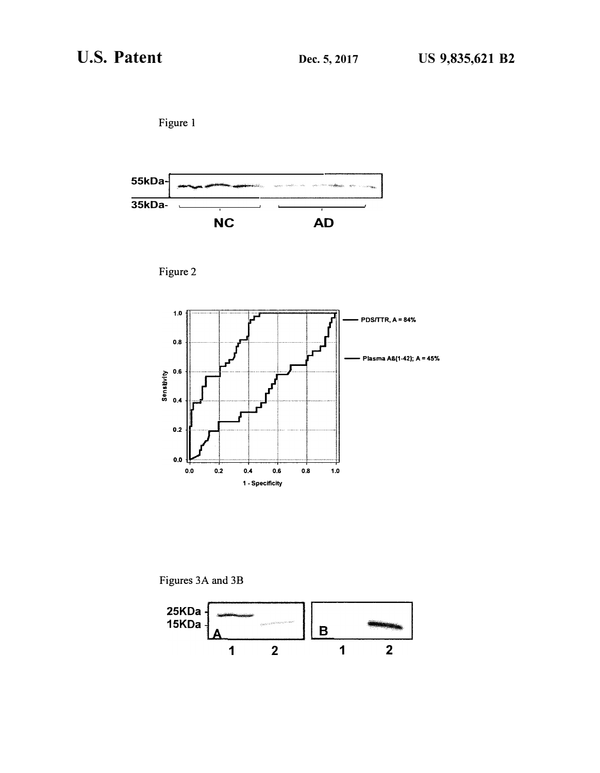







Figures 3A and 3B

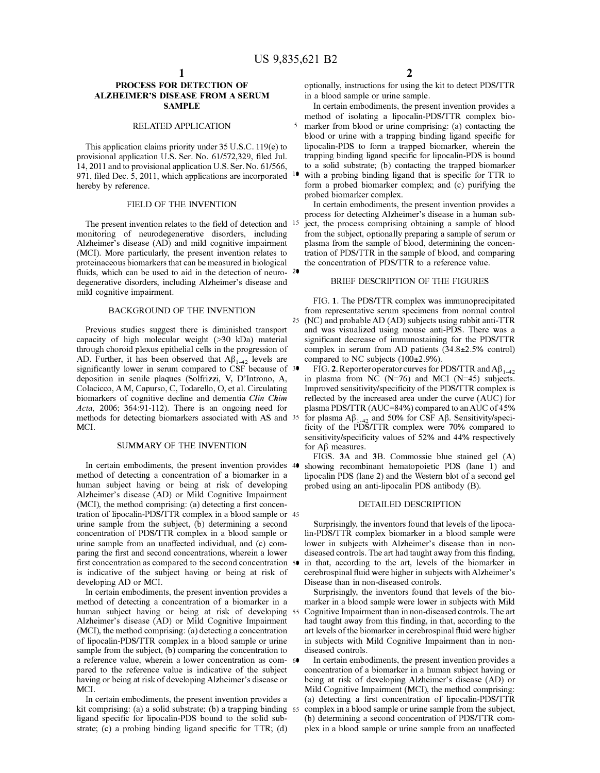# **PROCESS FOR DETECTION OF ALZHEIMER'S DISEASE FROM A SERUM SAMPLE**

### RELATED APPLICATION

This application claims priority under 35 U.S.C. 119(e) to provisional application U.S. Ser. No. 61/572,329, filed Jul. 14, 2011 and to provisional application U.S. Ser. No. 61/566, 971, filed Dec. 5, 2011, which applications are incorporated  $10$ hereby by reference.

The present invention relates to the field of detection and <sup>15</sup> monitoring of neurodegenerative disorders, including Alzheimer's disease (AD) and mild cognitive impairment (MCI). More particularly, the present invention relates to proteinaceous biomarkers that can be measured in biological fluids, which can be used to aid in the detection of neuro- 20 degenerative disorders, including Alzheimer's disease and mild cognitive impairment.

# BACKGROUND OF THE INVENTION

Previous studies suggest there is diminished transport capacity of high molecular weight (>30 kDa) material through choroid plexus epithelial cells in the progression of AD. Further, it has been observed that  $\mathbf{A}\beta_{1\text{-}42}$  levels are significantly lower in serum compared to CSF because of 30 deposition in senile plaques (Solfrizzi, V, D'Introno, A, Colacicco, A M, Capurso, C, Todarello, 0, et al. Circulating biomarkers of cognitive decline and dementia *Clin Chim Acta,* 2006; 364:91-112). There is an ongoing need for methods for detecting biomarkers associated with AS and MCI.

## SUMMARY OF THE INVENTION

In certain embodiments, the present invention provides 40 method of detecting a concentration of a biomarker in a human subject having or being at risk of developing Alzheimer's disease (AD) or Mild Cognitive Impairment (MCI), the method comprising: (a) detecting a first concentration of lipocalin-PDS/TTR complex in a blood sample or 45 urine sample from the subject, (b) determining a second concentration of PDS/TTR complex in a blood sample or urine sample from an unaffected individual, and (c) comparing the first and second concentrations, wherein a lower first concentration as compared to the second concentration 50 is indicative of the subject having or being at risk of developing AD or MCI.

In certain embodiments, the present invention provides a method of detecting a concentration of a biomarker in a human subject having or being at risk of developing 55 Alzheimer's disease (AD) or Mild Cognitive Impairment (MCI), the method comprising: (a) detecting a concentration of lipocalin-PDS/TTR complex in a blood sample or urine sample from the subject, (b) comparing the concentration to a reference value, wherein a lower concentration as com- 60 pared to the reference value is indicative of the subject having or being at risk of developing Alzheimer's disease or MCI.

In certain embodiments, the present invention provides a kit comprising: (a) a solid substrate; (b) a trapping binding 65 ligand specific for lipocalin-PDS bound to the solid substrate; (c) a probing binding ligand specific for TTR; (d)

optionally, instructions for using the kit to detect PDS/TTR in a blood sample or urine sample.

In certain embodiments, the present invention provides a method of isolating a lipocalin-PDS/TTR complex bio-5 marker from blood or urine comprising: (a) contacting the blood or urine with a trapping binding ligand specific for lipocalin-PDS to form a trapped biomarker, wherein the trapping binding ligand specific for lipocalin-PDS is bound to a solid substrate; (b) contacting the trapped biomarker with a probing binding ligand that is specific for TTR to form a probed biomarker complex; and (c) purifying the probed biomarker complex.

FIELD OF THE INVENTION In certain embodiments, the present invention provides a process for detecting Alzheimer's disease in a human subject, the process comprising obtaining a sample of blood from the subject, optionally preparing a sample of serum or plasma from the sample of blood, determining the concentration of PDS/TTR in the sample of blood, and comparing the concentration of PDS/TTR to a reference value.

#### BRIEF DESCRIPTION OF THE FIGURES

FIG. 1. The PDS/TTR complex was immunoprecipitated from representative serum specimens from normal control 25 (NC) and probable AD (AD) subjects using rabbit anti-TTR and was visualized using mouse anti-PDS. There was a significant decrease of immunostaining for the PDS/TTR complex in serum from AD patients (34.8±2.5% control) compared to NC subjects (100±2.9%).

FIG. 2. Reporter operator curves for PDS/TTR and  $A\beta_{1-42}$ in plasma from NC  $(N=76)$  and MCI  $(N=45)$  subjects. Improved sensitivity/specificity of the PDS/TTR complex is reflected by the increased area under the curve (AUC) for plasma PDS/TTR (AUC=84%) compared to an AUC of 45% <sup>35</sup> for plasma  $A\beta_{1-42}$  and 50% for CSF  $A\beta$ . Sensitivity/specificity of the PDS/TTR complex were 70% compared to sensitivity/specificity values of 52% and 44% respectively for A<sub>B</sub> measures.

FIGS. 3A and 38. Commossie blue stained gel (A) showing recombinant hematopoietic PDS (lane 1) and lipocalin PDS (lane 2) and the Western blot of a second gel probed using an anti-lipocalin PDS antibody (B).

#### DETAILED DESCRIPTION

Surprisingly, the inventors found that levels of the lipocalin-PDS/TTR complex biomarker in a blood sample were lower in subjects with Alzheimer's disease than in nondiseased controls. The art had taught away from this finding, in that, according to the art, levels of the biomarker in cerebrospinal fluid were higher in subjects with Alzheimer's Disease than in non-diseased controls.

Surprisingly, the inventors found that levels of the biomarker in a blood sample were lower in subjects with Mild Cognitive Impairment than in non-diseased controls. The art had taught away from this finding, in that, according to the art levels of the biomarker in cerebrospinal fluid were higher in subjects with Mild Cognitive Impairment than in nondiseased controls.

In certain embodiments, the present invention provides a concentration of a biomarker in a human subject having or being at risk of developing Alzheimer's disease (AD) or Mild Cognitive Impairment (MCI), the method comprising:<br>(a) detecting a first concentration of lipocalin-PDS/TTR complex in a blood sample or urine sample from the subject, (b) determining a second concentration of PDS/TTR complex in a blood sample or urine sample from an unaffected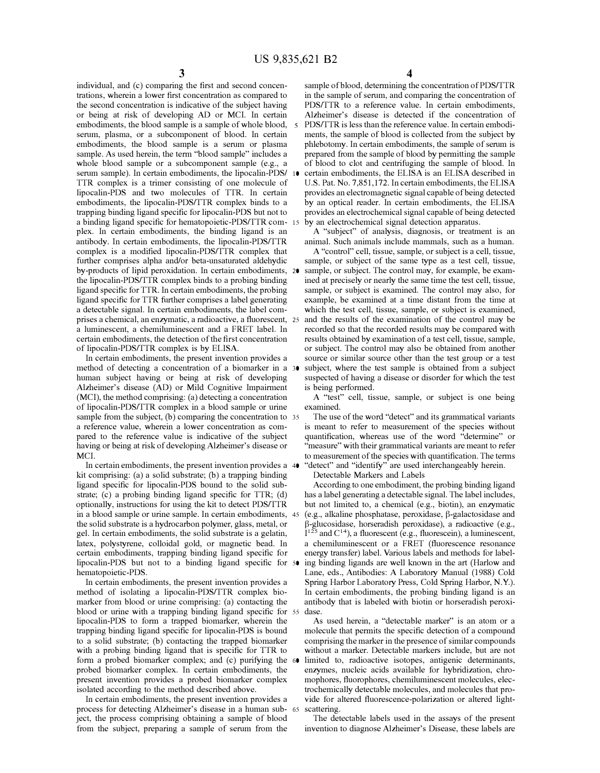5

individual, and (c) comparing the first and second concentrations, wherein a lower first concentration as compared to the second concentration is indicative of the subject having or being at risk of developing AD or MCI. In certain embodiments, the blood sample is a sample of whole blood, serum, plasma, or a subcomponent of blood. In certain embodiments, the blood sample is a serum or plasma sample. As used herein, the term "blood sample" includes a whole blood sample or a subcomponent sample (e.g., a serum sample). In certain embodiments, the lipocalin-PDS/ TTR complex is a trimer consisting of one molecule of lipocalin-PDS and two molecules of TTR. In certain embodiments, the lipocalin-PDS/TTR complex binds to a trapping binding ligand specific for lipocalin-PDS but not to a binding ligand specific for hematopoietic-PDS/TTR com- 15 plex. In certain embodiments, the binding ligand is an antibody. In certain embodiments, the lipocalin-PDS/TTR complex is a modified lipocalin-PDS/TTR complex that further comprises alpha and/or beta-unsaturated aldehydic by-products of lipid peroxidation. In certain embodiments, 20 the lipocalin-PDS/TTR complex binds to a probing binding ligand specific for TTR. In certain embodiments, the probing ligand specific for TTR further comprises a label generating a detectable signal. In certain embodiments, the label comprises a chemical, an enzymatic, a radioactive, a fluorescent, 25 a luminescent, a chemiluminescent and a FRET label. In certain embodiments, the detection of the first concentration of lipocalin-PDS/TTR complex is by ELISA.

In certain embodiments, the present invention provides a method of detecting a concentration of a biomarker in a 30 human subject having or being at risk of developing Alzheimer's disease (AD) or Mild Cognitive Impairment (MCI), the method comprising: (a) detecting a concentration of lipocalin-PDS/TTR complex in a blood sample or urine sample from the subject, (b) comparing the concentration to 35 a reference value, wherein a lower concentration as compared to the reference value is indicative of the subject having or being at risk of developing Alzheimer's disease or MCI.

In certain embodiments, the present invention provides a kit comprising: (a) a solid substrate; (b) a trapping binding ligand specific for lipocalin-PDS bound to the solid substrate; (c) a probing binding ligand specific for TTR; (d) optionally, instructions for using the kit to detect PDS/TTR in a blood sample or urine sample. In certain embodiments, 45 the solid substrate is a hydrocarbon polymer, glass, metal, or gel. In certain embodiments, the solid substrate is a gelatin, latex, polystyrene, colloidal gold, or magnetic bead. In certain embodiments, trapping binding ligand specific for lipocalin-PDS but not to a binding ligand specific for 50 ing binding ligands are well known in the art (Harlow and hematopoietic-PDS.

In certain embodiments, the present invention provides a method of isolating a lipocalin-PDS/TTR complex biomarker from blood or urine comprising: (a) contacting the blood or urine with a trapping binding ligand specific for 55 lipocalin-PDS to form a trapped biomarker, wherein the trapping binding ligand specific for lipocalin-PDS is bound to a solid substrate; (b) contacting the trapped biomarker with a probing binding ligand that is specific for TTR to form a probed biomarker complex; and (c) purifying the 60 probed biomarker complex. In certain embodiments, the present invention provides a probed biomarker complex isolated according to the method described above.

In certain embodiments, the present invention provides a process for detecting Alzheimer's disease in a human sub- 65 ject, the process comprising obtaining a sample of blood from the subject, preparing a sample of serum from the

sample of blood, determining the concentration of PDS/TTR in the sample of serum, and comparing the concentration of PDS/TTR to a reference value. In certain embodiments, Alzheimer's disease is detected if the concentration of PDS/TTR is less than the reference value. In certain embodiments, the sample of blood is collected from the subject by phlebotomy. In certain embodiments, the sample of serum is prepared from the sample of blood by permitting the sample of blood to clot and centrifuging the sample of blood. In certain embodiments, the ELISA is an ELISA described in U.S. Pat. No. 7,851,172. In certain embodiments, the ELISA provides an electromagnetic signal capable of being detected by an optical reader. In certain embodiments, the ELISA provides an electrochemical signal capable of being detected by an electrochemical signal detection apparatus.

A "subject" of analysis, diagnosis, or treatment is an animal. Such animals include mammals, such as a human.

A "control" cell, tissue, sample, or subject is a cell, tissue, sample, or subject of the same type as a test cell, tissue, sample, or subject. The control may, for example, be examined at precisely or nearly the same time the test cell, tissue, sample, or subject is examined. The control may also, for example, be examined at a time distant from the time at which the test cell, tissue, sample, or subject is examined, and the results of the examination of the control may be recorded so that the recorded results may be compared with results obtained by examination of a test cell, tissue, sample, or subject. The control may also be obtained from another source or similar source other than the test group or a test subject, where the test sample is obtained from a subject suspected of having a disease or disorder for which the test is being performed.

A "test" cell, tissue, sample, or subject is one being examined.

The use of the word "detect" and its grammatical variants is meant to refer to measurement of the species without quantification, whereas use of the word "determine" or "measure" with their grammatical variants are meant to refer to measurement of the species with quantification. The terms "detect" and "identify" are used interchangeably herein.

Detectable Markers and Labels

According to one embodiment, the probing binding ligand has a label generating a detectable signal. The label includes, but not limited to, a chemical (e.g., biotin), an enzymatic ( e.g., alkaline phosphatase, peroxidase, �-galactosidase and �-glucosidase, horseradish peroxidase), a radioactive ( e.g.,  $I^{125}$  and  $C^{14}$ ), a fluorescent (e.g., fluorescein), a luminescent, a chemiluminescent or a FRET (fluorescence resonance energy transfer) label. Various labels and methods for label-Lane, eds., Antibodies: A Laboratory Manual (1988) Cold Spring Harbor Laboratory Press, Cold Spring Harbor, N.Y.). In certain embodiments, the probing binding ligand is an antibody that is labeled with biotin or horseradish peroxidase.

As used herein, a "detectable marker" is an atom or a molecule that permits the specific detection of a compound comprising the marker in the presence of similar compounds without a marker. Detectable markers include, but are not limited to, radioactive isotopes, antigenic determinants, enzymes, nucleic acids available for hybridization, chromophores, fluorophores, chemiluminescent molecules, electrochemically detectable molecules, and molecules that provide for altered fluorescence-polarization or altered lightscattering.

The detectable labels used in the assays of the present invention to diagnose Alzheimer's Disease, these labels are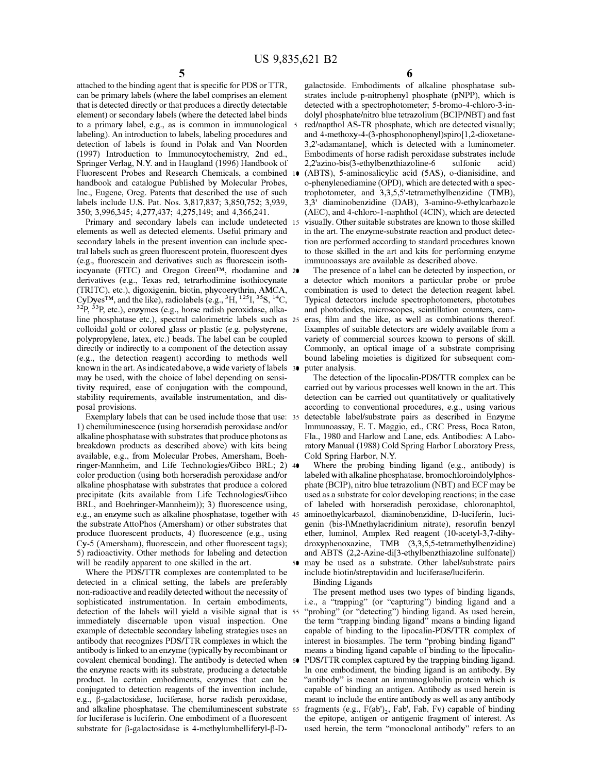attached to the binding agent that is specific for PDS or TTR, can be primary labels (where the label comprises an element that is detected directly or that produces a directly detectable element) or secondary labels (where the detected label binds to a primary label, e.g., as is common in immunological 5 labeling). An introduction to labels, labeling procedures and detection of labels is found in Polak and Van Noorden (1997) Introduction to Immunocytochemistry, 2nd ed., Springer Verlag, N.Y. and in Haugland (1996) Handbook of Fluorescent Probes and Research Chemicals, a combined handbook and catalogue Published by Molecular Probes, Inc., Eugene, Oreg. Patents that described the use of such labels include U.S. Pat. Nos. 3,817,837; 3,850,752; 3,939, 350; 3,996,345; 4,277,437; 4,275,149; and 4,366,241.

Primary and secondary labels can include undetected 15 elements as well as detected elements. Useful primary and secondary labels in the present invention can include spectral labels such as green fluorescent protein, fluorescent dyes (e.g., fluorescein and derivatives such as fluorescein isothiocyanate (FITC) and Oregon Green™, rhodamine and 20 derivatives (e.g., Texas red, tetrarhodimine isothiocynate (TRITC), etc.), digoxigenin, biotin, phycoerythrin, AMCA, CyDyes<sup>TM</sup>, and the like), radiolabels (e.g.,  ${}^3H$ ,  ${}^{125}I$ ,  ${}^{35}S$ ,  ${}^{14}C$ , <sup>32</sup>P, <sup>33</sup>P, etc.), enzymes (e.g., horse radish peroxidase, alkaline phosphatase etc.), spectral calorimetric labels such as 25 colloidal gold or colored glass or plastic (e.g. polystyrene, polypropylene, latex, etc.) beads. The label can be coupled directly or indirectly to a component of the detection assay (e.g., the detection reagent) according to methods well known in the art. As indicated above, a wide variety of labels 30 may be used, with the choice of label depending on sensitivity required, ease of conjugation with the compound, stability requirements, available instrumentation, and disposal provisions.

Exemplary labels that can be used include those that use: 35 1) chemiluminescence (using horseradish peroxidase and/or alkaline phosphatase with substrates that produce photons as breakdown products as described above) with kits being available, e.g., from Molecular Probes, Amersham, Boehringer-Mannheim, and Life Technologies/Gibco BRL; 2) 40 color production (using both horseradish peroxidase and/or alkaline phosphatase with substrates that produce a colored precipitate (kits available from Life Technologies/Gibco BRL, and Boehringer-Mannheim)); 3) fluorescence using, e.g., an enzyme such as alkaline phosphatase, together with the substrate AttoPhos (Amersham) or other substrates that produce fluorescent products, 4) fluorescence (e.g., using Cy-5 (Amersham), fluorescein, and other fluorescent tags); 5) radioactivity. Other methods for labeling and detection and ABTS (2,2-Azine-di[3-ethylbenzthiazoline sulfonate]) will be readily apparent to one skilled in the art.

Where the PDS/TTR complexes are contemplated to be detected in a clinical setting, the labels are preferably non-radioactive and readily detected without the necessity of sophisticated instrumentation. In certain embodiments, detection of the labels will yield a visible signal that is immediately discernable upon visual inspection. One example of detectable secondary labeling strategies uses an antibody that recognizes PDS/TTR complexes in which the antibody is linked to an enzyme (typically by recombinant or covalent chemical bonding). The antibody is detected when 60 the enzyme reacts with its substrate, producing a detectable product. In certain embodiments, enzymes that can be conjugated to detection reagents of the invention include, e.g., �-galactosidase, luciferase, horse radish peroxidase, and alkaline phosphatase. The chemiluminescent substrate for luciferase is luciferin. One embodiment of a fluorescent substrate for  $\beta$ -galactosidase is 4-methylumbelliferyl- $\beta$ -D-

**6** 

galactoside. Embodiments of alkaline phosphatase substrates include p-nitrophenyl phosphate (pNPP), which is detected with a spectrophotometer; 5-bromo-4-chloro-3-indolyl phosphate/nitro blue tetrazolium (BCIP/NBT) and fast red/napthol AS-TR phosphate, which are detected visually; and 4-methoxy-4-(3-phosphonophenyl)spiro[1,2-dioxetane-3 ,2'-adamantane], which is detected with a luminometer. Embodiments of horse radish peroxidase substrates include 2,2'azino-bis(3-ethylbenzthiazoline-6 sulfonic acid)

10 (ABTS), 5-aminosalicylic acid (SAS), o-dianisidine, and o-phenylenediamine (OPD), which are detected with a spectrophotometer, and 3,3,5,5'-tetramethylbenzidine (TMB), 3,3' diaminobenzidine (DAB), 3-amino-9-ethylcarbazole (AEC), and 4-chloro-1-naphthol (4ClN), which are detected visually. Other suitable substrates are known to those skilled in the art. The enzyme-substrate reaction and product detection are performed according to standard procedures known to those skilled in the art and kits for performing enzyme immunoassays are available as described above.

The presence of a label can be detected by inspection, or a detector which monitors a particular probe or probe combination is used to detect the detection reagent label. Typical detectors include spectrophotometers, phototubes and photodiodes, microscopes, scintillation counters, cameras, film and the like, as well as combinations thereof. Examples of suitable detectors are widely available from a variety of commercial sources known to persons of skill. Commonly, an optical image of a substrate comprising bound labeling moieties is digitized for subsequent computer analysis.

The detection of the lipocalin-PDS/TTR complex can be carried out by various processes well known in the art. This detection can be carried out quantitatively or qualitatively according to conventional procedures, e.g., using various detectable label/substrate pairs as described in Enzyme Immunoassay, E. T. Maggio, ed., CRC Press, Boca Raton, Fla., 1980 and Harlow and Lane, eds. Antibodies: A Laboratory Manual (1988) Cold Spring Harbor Laboratory Press, Cold Spring Harbor, N.Y.

Where the probing binding ligand (e.g., antibody) is labeled with alkaline phosphatase, bromochloroindolylphosphate (BCIP), nitro blue tetrazolium (NBT) and ECF may be used as a substrate for color developing reactions; in the case of labeled with horseradish peroxidase, chloronaphtol, aminoethylcarbazol, diaminobenzidine, D-luciferin, lucigenin (bis-I\Mnethylacridinium nitrate), resorufin benzyl ether, luminol, Amplex Red reagent (10-acetyl-3,7-dihydroxyphenoxazine, TMB (3,3,5,5-tetramethylbenzidine) 50 may be used as a substrate. Other label/substrate pairs include biotin/streptavidin and luciferase/luciferin.

Binding Ligands

The present method uses two types of binding ligands, i.e., a "trapping" (or "capturing") binding ligand and a "probing" (or "detecting") binding ligand. As used herein, the term "trapping binding ligand" means a binding ligand capable of binding to the lipocalin-PDS/TTR complex of interest in biosamples. The term "probing binding ligand" means a binding ligand capable of binding to the lipocalin-PDS/TTR complex captured by the trapping binding ligand. In one embodiment, the binding ligand is an antibody. By "antibody" is meant an immunoglobulin protein which is capable of binding an antigen. Antibody as used herein is meant to include the entire antibody as well as any antibody 65 fragments (e.g.,  $F(ab')_2$ , Fab', Fab, Fv) capable of binding the epitope, antigen or antigenic fragment of interest. As used herein, the term "monoclonal antibody" refers to an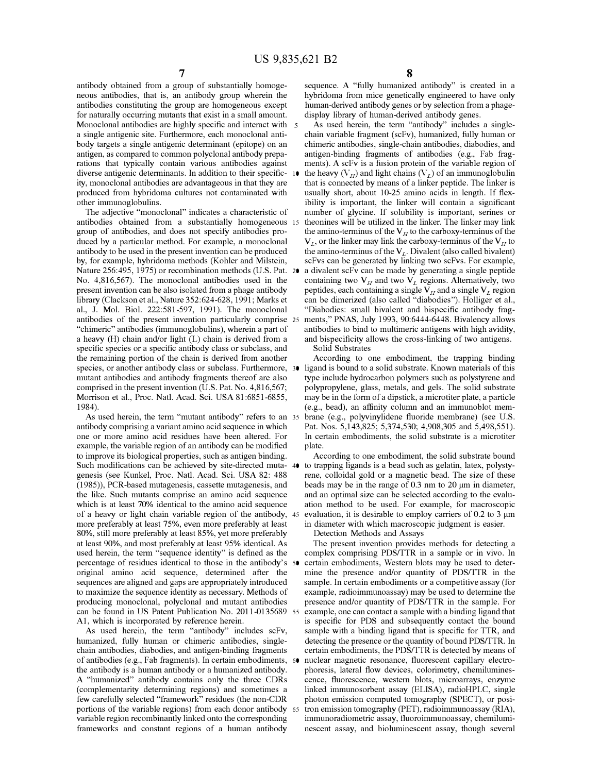antibody obtained from a group of substantially homogeneous antibodies, that is, an antibody group wherein the antibodies constituting the group are homogeneous except for naturally occurring mutants that exist in a small amount. Monoclonal antibodies are highly specific and interact with 5 a single antigenic site. Furthermore, each monoclonal antibody targets a single antigenic determinant (epitope) on an antigen, as compared to common polyclonal antibody preparations that typically contain various antibodies against diverse antigenic determinants. In addition to their specificity, monoclonal antibodies are advantageous in that they are produced from hybridoma cultures not contaminated with other immunoglobulins.

The adjective "monoclonal" indicates a characteristic of antibodies obtained from a substantially homogeneous group of antibodies, and does not specify antibodies produced by a particular method. For example, a monoclonal antibody to be used in the present invention can be produced by, for example, hybridoma methods (Kohler and Milstein, Nature 256:495, 1975) or recombination methods (U.S. Pat. 20 a divalent scFv can be made by generating a single peptide No. 4,816,567). The monoclonal antibodies used in the present invention can be also isolated from a phage antibody library (Clackson et al., Nature 352:624-628, 1991; Marks et al., J. Mo!. Biol. 222:581-597, 1991). The monoclonal antibodies of the present invention particularly comprise "chimeric" antibodies (immunoglobulins), wherein a part of a heavy (H) chain and/or light (L) chain is derived from a and bispecificity allows the cross-linking of two antigens. specific species or a specific antibody class or subclass, and the remaining portion of the chain is derived from another species, or another antibody class or subclass. Furthermore, 30 mutant antibodies and antibody fragments thereof are also comprised in the present invention (U.S. Pat. No. 4,816,567; Morrison et al., Proc. Natl. Acad. Sci. USA 81:6851-6855, 1984).

As used herein, the term "mutant antibody" refers to an 35 antibody comprising a variant amino acid sequence in which one or more amino acid residues have been altered. For example, the variable region of an antibody can be modified to improve its biological properties, such as antigen binding. Such modifications can be achieved by site-directed muta- 40 to trapping ligands is a bead such as gelatin, latex, polystygenesis (see Kunkel, Proc. Natl. Acad. Sci. USA 82: 488 (1985)), PCR-based mutagenesis, cassette mutagenesis, and the like. Such mutants comprise an amino acid sequence which is at least 70% identical to the amino acid sequence of a heavy or light chain variable region of the antibody, 45 more preferably at least 75%, even more preferably at least 80%, still more preferably at least 85%, yet more preferably at least 90%, and most preferably at least 95% identical. As used herein, the term "sequence identity" is defined as the percentage of residues identical to those in the antibody's 50 original amino acid sequence, determined after the sequences are aligned and gaps are appropriately introduced to maximize the sequence identity as necessary. Methods of producing monoclonal, polyclonal and mutant antibodies can be found in US Patent Publication No. 2011-0135689 55 Al, which is incorporated by reference herein.

As used herein, the term "antibody" includes scFv, humanized, fully human or chimeric antibodies, singlechain antibodies, diabodies, and antigen-binding fragments of antibodies (e.g., Fab fragments). In certain embodiments, 60 the antibody is a human antibody or a humanized antibody. A "humanized" antibody contains only the three CDRs (complementarity determining regions) and sometimes a few carefully selected "framework" residues (the non-CDR portions of the variable regions) from each donor antibody variable region recombinantly linked onto the corresponding frameworks and constant regions of a human antibody

sequence. A "fully humanized antibody" is created in a hybridoma from mice genetically engineered to have only human-derived antibody genes or by selection from a phagedisplay library of human-derived antibody genes.

As used herein, the term "antibody" includes a singlechain variable fragment (scFv), humanized, fully human or chimeric antibodies, single-chain antibodies, diabodies, and antigen-binding fragments of antibodies (e.g., Fab fragments). A scFv is a fusion protein of the variable region of the heavy  $(V_H)$  and light chains  $(V_L)$  of an immunoglobulin that is connected by means of a linker peptide. The linker is usually short, about 10-25 amino acids in length. If flexibility is important, the linker will contain a significant number of glycine. If solubility is important, serines or theonines will be utilized in the linker. The linker may link the amino-terminus of the  $V_H$  to the carboxy-terminus of the  $V_L$ , or the linker may link the carboxy-terminus of the  $V_H$  to the amino-terminus of the  $V_L$ . Divalent (also called bivalent) scFvs can be generated by linking two scFvs. For example, containing two  $V_H$  and two  $V_L$  regions. Alternatively, two peptides, each containing a single  $V_H$  and a single  $V_L$  region can be dimerized (also called "diabodies"). Holliger et al., "Diabodies: small bivalent and bispecific antibody fragments," PNAS, July 1993, 90:6444-6448. Bivalency allows antibodies to bind to multimeric antigens with high avidity, Solid Substrates

According to one embodiment, the trapping binding ligand is bound to a solid substrate. Known materials of this type include hydrocarbon polymers such as polystyrene and polypropylene, glass, metals, and gels. The solid substrate may be in the form of a dipstick, a microtiter plate, a particle (e.g., bead), an affinity colunm and an immunoblot membrane (e.g., polyvinylidene fluoride membrane) (see U.S. Pat. Nos. 5,143,825; 5,374,530; 4,908,305 and 5,498,551). In certain embodiments, the solid substrate is a microtiter plate.

According to one embodiment, the solid substrate bound rene, colloidal gold or a magnetic bead. The size of these beads may be in the range of 0.3 nm to 20 µm in diameter, and an optimal size can be selected according to the evaluation method to be used. For example, for macroscopic evaluation, it is desirable to employ carriers of 0.2 to 3 µm in diameter with which macroscopic judgment is easier.

Detection Methods and Assays

The present invention provides methods for detecting a complex comprising PDS/TTR in a sample or in vivo. In certain embodiments, Western blots may be used to determine the presence and/or quantity of PDS/TTR in the sample. In certain embodiments or a competitive assay (for example, radioimmunoassay) may be used to determine the presence and/or quantity of PDS/TTR in the sample. For example, one can contact a sample with a binding ligand that is specific for PDS and subsequently contact the bound sample with a binding ligand that is specific for TTR, and detecting the presence or the quantity of bound PDS/TTR. In certain embodiments, the PDS/TTR is detected by means of nuclear magnetic resonance, fluorescent capillary electrophoresis, lateral flow devices, colorimetry, chemiluminescence, fluorescence, western blots, microarrays, enzyme linked immunosorbent assay (ELISA), radioHPLC, single photon emission computed tomography (SPECT), or positron emission tomography (PET), radioimmunoassay (RIA), immunoradiometric assay, fluoroimmunoassay, chemiluminescent assay, and bioluminescent assay, though several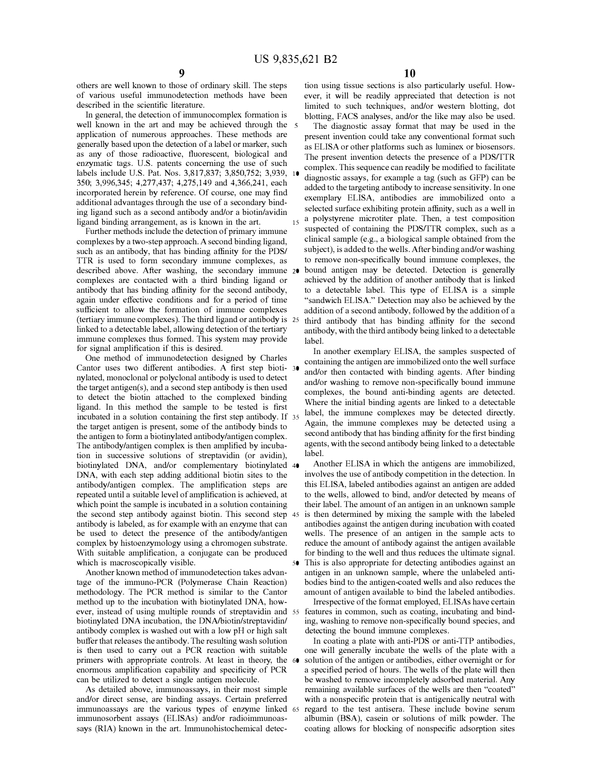others are well known to those of ordinary skill. The steps of various useful immunodetection methods have been described in the scientific literature.

In general, the detection of immunocomplex formation is well known in the art and may be achieved through the 5 application of numerous approaches. These methods are generally based upon the detection of a label or marker, such as any of those radioactive, fluorescent, biological and enzymatic tags. U.S. patents concerning the use of such labels include U.S. Pat. Nos. 3,817,837; 3,850,752; 3,939, 350; 3,996,345; 4,277,437; 4,275,149 and 4,366,241, each incorporated herein by reference. Of course, one may find additional advantages through the use of a secondary binding ligand such as a second antibody and/or a biotin/avidin ligand binding arrangement, as is known in the art.

Further methods include the detection of primary immune complexes by a two-step approach. A second binding ligand, such as an antibody, that has binding affinity for the PDS/ TTR is used to form secondary immune complexes, as described above. After washing, the secondary immune 20 complexes are contacted with a third binding ligand or antibody that has binding affinity for the second antibody, again under effective conditions and for a period of time sufficient to allow the formation of immune complexes (tertiary immune complexes). The third ligand or antibody is linked to a detectable label, allowing detection of the tertiary immune complexes thus formed. This system may provide for signal amplification if this is desired.

One method of immunodetection designed by Charles Cantor uses two different antibodies. A first step bioti- 30 nylated, monoclonal or polyclonal antibody is used to detect the target antigen $(s)$ , and a second step antibody is then used to detect the biotin attached to the complexed binding ligand. In this method the sample to be tested is first incubated in a solution containing the first step antibody. If 35 the target antigen is present, some of the antibody binds to the antigen to form a biotinylated antibody/antigen complex. The antibody/antigen complex is then amplified by incubation in successive solutions of streptavidin (or avidin), biotinylated DNA, and/or complementary biotinylated <sup>40</sup> DNA, with each step adding additional biotin sites to the antibody/antigen complex. The amplification steps are repeated until a suitable level of amplification is achieved, at which point the sample is incubated in a solution containing the second step antibody against biotin. This second step 45 antibody is labeled, as for example with an enzyme that can be used to detect the presence of the antibody/antigen complex by histoenzymology using a chromogen substrate. With suitable amplification, a conjugate can be produced which is macroscopically visible.

Another known method of immunodetection takes advantage of the immuno-PCR (Polymerase Chain Reaction) methodology. The PCR method is similar to the Cantor method up to the incubation with biotinylated DNA, however, instead of using multiple rounds of streptavidin and 55 biotinylated DNA incubation, the DNA/biotin/streptavidin/ antibody complex is washed out with a low pH or high salt buffer that releases the antibody. The resulting wash solution is then used to carry out a PCR reaction with suitable primers with appropriate controls. At least in theory, the <sup>60</sup> enormous amplification capability and specificity of PCR can be utilized to detect a single antigen molecule.

As detailed above, immunoassays, in their most simple and/or direct sense, are binding assays. Certain preferred immunoassays are the various types of enzyme linked 65 immunosorbent assays (ELISAs) and/or radioimmunoassays (RIA) known in the art. Immunohistochemical detec-

tion using tissue sections is also particularly useful. However, it will be readily appreciated that detection is not limited to such techniques, and/or western blotting, dot blotting, FACS analyses, and/or the like may also be used.

The diagnostic assay format that may be used in the present invention could take any conventional format such as ELISA or other platforms such as luminex or biosensors. The present invention detects the presence of a PDS/TTR complex. This sequence can readily be modified to facilitate diagnostic assays, for example a tag (such as GFP) can be added to the targeting antibody to increase sensitivity. In one exemplary ELISA, antibodies are immobilized onto a selected surface exhibiting protein affinity, such as a well in a polystyrene microtiter plate. Then, a test composition suspected of containing the PDS/TTR complex, such as a clinical sample (e.g., a biological sample obtained from the subject), is added to the wells. After binding and/or washing to remove non-specifically bound immune complexes, the bound antigen may be detected. Detection is generally achieved by the addition of another antibody that is linked to a detectable label. This type of ELISA is a simple "sandwich ELISA." Detection may also be achieved by the addition of a second antibody, followed by the addition of a third antibody that has binding affinity for the second antibody, with the third antibody being linked to a detectable label.

In another exemplary ELISA, the samples suspected of containing the antigen are immobilized onto the well surface and/or then contacted with binding agents. After binding and/or washing to remove non-specifically bound immune complexes, the bound anti-binding agents are detected. Where the initial binding agents are linked to a detectable label, the immune complexes may be detected directly. Again, the immune complexes may be detected using a second antibody that has binding affinity for the first binding agents, with the second antibody being linked to a detectable label.

Another ELISA in which the antigens are immobilized, involves the use of antibody competition in the detection. In this ELISA, labeled antibodies against an antigen are added to the wells, allowed to bind, and/or detected by means of their label. The amount of an antigen in an unknown sample is then determined by mixing the sample with the labeled antibodies against the antigen during incubation with coated wells. The presence of an antigen in the sample acts to reduce the amount of antibody against the antigen available for binding to the well and thus reduces the ultimate signal. This is also appropriate for detecting antibodies against an antigen in an unknown sample, where the unlabeled antibodies bind to the antigen-coated wells and also reduces the

amount of antigen available to bind the labeled antibodies. Irrespective of the format employed, ELISAs have certain features in common, such as coating, incubating and binding, washing to remove non-specifically bound species, and detecting the bound immune complexes.

In coating a plate with anti-PDS or anti-TTP antibodies, one will generally incubate the wells of the plate with a solution of the antigen or antibodies, either overnight or for a specified period of hours. The wells of the plate will then be washed to remove incompletely adsorbed material. Any remaining available surfaces of the wells are then "coated" with a nonspecific protein that is antigenically neutral with regard to the test antisera. These include bovine serum albumin (BSA), casein or solutions of milk powder. The coating allows for blocking of nonspecific adsorption sites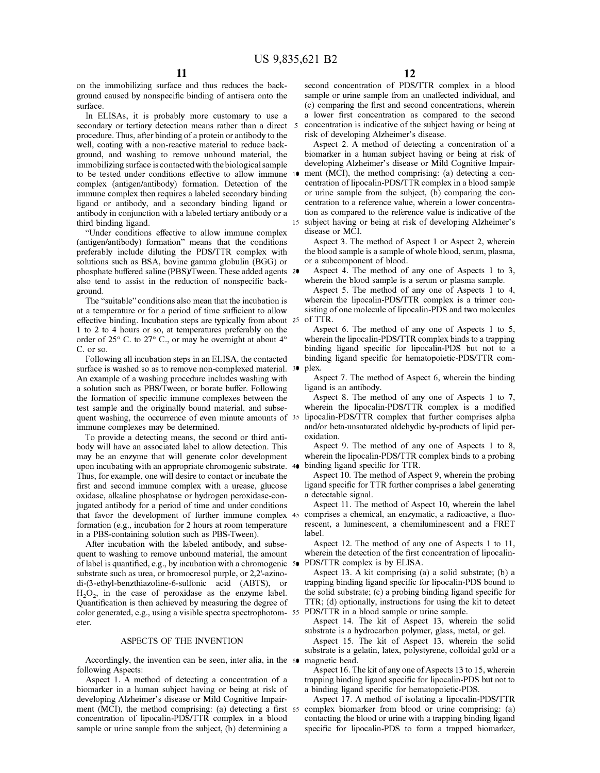on the innnobilizing surface and thus reduces the background caused by nonspecific binding of antisera onto the surface.

In ELISAs, it is probably more customary to use a secondary or tertiary detection means rather than a direct 5 procedure. Thus, after binding of a protein or antibody to the well, coating with a non-reactive material to reduce background, and washing to remove unbound material, the immobilizing surface is contacted with the biological sample to be tested under conditions effective to allow immune complex (antigen/antibody) formation. Detection of the immune complex then requires a labeled secondary binding ligand or antibody, and a secondary binding ligand or antibody in conjunction with a labeled tertiary antibody or a third binding ligand.

"Under conditions effective to allow innnune complex (antigen/antibody) formation" means that the conditions preferably include diluting the PDS/TTR complex with solutions such as BSA, bovine gannna globulin (BGG) or phosphate buffered saline (PBS)/Tween. These added agents 20 also tend to assist in the reduction of nonspecific background.

The "suitable" conditions also mean that the incubation is at a temperature or for a period of time sufficient to allow effective binding. Incubation steps are typically from about 25 1 to 2 to 4 hours or so, at temperatures preferably on the order of 25° C. to 27° C., or may be overnight at about 4° C. or so.

Following all incubation steps in an ELISA, the contacted surface is washed so as to remove non-complexed material. <sup>30</sup> An example of a washing procedure includes washing with a solution such as PBS/Tween, or borate buffer. Following the formation of specific innnune complexes between the test sample and the originally bound material, and subsequent washing, the occurrence of even minute amounts of 35 immune complexes may be determined.

To provide a detecting means, the second or third antibody will have an associated label to allow detection. This may be an enzyme that will generate color development upon incubating with an appropriate chromogenic substrate. 40 Thus, for example, one will desire to contact or incubate the first and second innnune complex with a urease, glucose oxidase, alkaline phosphatase or hydrogen peroxidase-conjugated antibody for a period of time and under conditions that favor the development of further innnune complex 45 comprises a chemical, an enzymatic, a radioactive, a fluoformation (e.g., incubation for 2 hours at room temperature in a PBS-containing solution such as PBS-Tween).

After incubation with the labeled antibody, and subsequent to washing to remove unbound material, the amount oflabel is quantified, e.g., by incubation with a chromogenic 50 PDS/TTR complex is by ELISA. substrate such as urea, or bromocresol purple, or 2,2'-azinodi-(3-ethyl-benzthiazoline-6-sulfonic acid (ABTS), or  $H_2O_2$ , in the case of peroxidase as the enzyme label. Quantification is then achieved by measuring the degree of color generated, e.g., using a visible spectra spectrophotom- 55 PDS/TTR in a blood sample or urine sample. eter.

#### ASPECTS OF THE INVENTION

Accordingly, the invention can be seen, inter alia, in the 60 following Aspects:

Aspect 1. A method of detecting a concentration of a biomarker in a human subject having or being at risk of developing Alzheimer's disease or Mild Cognitive Impairment (MCI), the method comprising: (a) detecting a first 65 concentration of lipocalin-PDS/TTR complex in a blood sample or urine sample from the subject, (b) determining a

second concentration of PDS/TTR complex in a blood sample or urine sample from an unaffected individual, and ( c) comparing the first and second concentrations, wherein a lower first concentration as compared to the second concentration is indicative of the subject having or being at risk of developing Alzheimer's disease.

Aspect 2. A method of detecting a concentration of a biomarker in a human subject having or being at risk of developing Alzheimer's disease or Mild Cognitive Impairment (MCI), the method comprising: (a) detecting a concentration of lipocalin-PDS/TTR complex in a blood sample or urine sample from the subject, (b) comparing the concentration to a reference value, wherein a lower concentration as compared to the reference value is indicative of the 15 subject having or being at risk of developing Alzheimer's disease or MCI.

Aspect 3. The method of Aspect 1 or Aspect 2, wherein the blood sample is a sample of whole blood, serum, plasma, or a subcomponent of blood.

Aspect 4. The method of any one of Aspects 1 to 3, wherein the blood sample is a serum or plasma sample.

Aspect 5. The method of any one of Aspects 1 to 4, wherein the lipocalin-PDS/TTR complex is a trimer consisting of one molecule of lipocalin-PDS and two molecules of TTR.

Aspect 6. The method of any one of Aspects 1 to 5, wherein the lipocalin-PDS/TTR complex binds to a trapping binding ligand specific for lipocalin-PDS but not to a binding ligand specific for hematopoietic-PDS/TTR complex.

Aspect 7. The method of Aspect 6, wherein the binding ligand is an antibody.

Aspect 8. The method of any one of Aspects 1 to 7, wherein the lipocalin-PDS/TTR complex is a modified lipocalin-PDS/TTR complex that further comprises alpha and/or beta-unsaturated aldehydic by-products of lipid peroxidation.

Aspect 9. The method of any one of Aspects 1 to 8, wherein the lipocalin-PDS/TTR complex binds to a probing binding ligand specific for TTR.

Aspect 10. The method of Aspect 9, wherein the probing ligand specific for TTR further comprises a label generating a detectable signal.

Aspect 11. The method of Aspect 10, wherein the label rescent, a luminescent, a chemiluminescent and a FRET label.

Aspect 12. The method of any one of Aspects 1 to 11, wherein the detection of the first concentration of lipocalin-

Aspect 13. A kit comprising (a) a solid substrate; (b) a trapping binding ligand specific for lipocalin-PDS bound to the solid substrate; (c) a probing binding ligand specific for TTR; (d) optionally, instructions for using the kit to detect

Aspect 14. The kit of Aspect 13, wherein the solid substrate is a hydrocarbon polymer, glass, metal, or gel.

Aspect 15. The kit of Aspect 13, wherein the solid substrate is a gelatin, latex, polystyrene, colloidal gold or a magnetic bead.

Aspect 16. The kit of any one of Aspects 13 to 15, wherein trapping binding ligand specific for lipocalin-PDS but not to a binding ligand specific for hematopoietic-PDS.

Aspect 17. A method of isolating a lipocalin-PDS/TTR complex biomarker from blood or urine comprising: (a) contacting the blood or urine with a trapping binding ligand specific for lipocalin-PDS to form a trapped biomarker,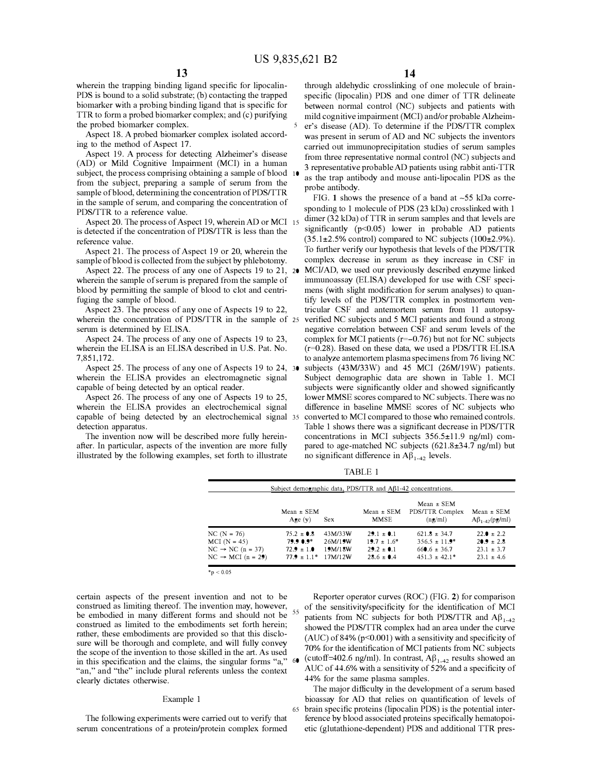wherein the trapping binding ligand specific for lipocalin-PDS is bound to a solid substrate; (b) contacting the trapped biomarker with a probing binding ligand that is specific for TTR to form a probed biomarker complex; and (c) purifying the probed biomarker complex.

Aspect 18. A probed biomarker complex isolated according to the method of Aspect 17.

subject, the process comprising obtaining a sample of blood 10 Aspect 19. A process for detecting Alzheimer's disease (AD) or Mild Cognitive Impairment (MCI) in a human from the subject, preparing a sample of serum from the sample of blood, determining the concentration of PDS/TTR in the sample of serum, and comparing the concentration of PDS/TTR to a reference value.

is detected if the concentration of PDS/TTR is less than the reference value.

Aspect 21. The process of Aspect 19 or 20, wherein the sample of blood is collected from the subject by phlebotomy.

Aspect 22. The process of any one of Aspects 19 to 21, 20 wherein the sample of serum is prepared from the sample of blood by permitting the sample of blood to clot and centrifuging the sample of blood.

Aspect 23. The process of any one of Aspects 19 to 22, wherein the concentration of PDS/TTR in the sample of 25 serum is determined by ELISA.

Aspect 24. The process of any one of Aspects 19 to 23, wherein the ELISA is an ELISA described in U.S. Pat. No. 7,851,172.

Aspect 25. The process of any one of Aspects 19 to 24, 30 wherein the ELISA provides an electromagnetic signal capable of being detected by an optical reader.

Aspect 26. The process of any one of Aspects 19 to 25, wherein the ELISA provides an electrochemical signal capable of being detected by an electrochemical signal detection apparatus.

The invention now will be described more fully hereinafter. In particular, aspects of the invention are more fully illustrated by the following examples, set forth to illustrate

through aldehydic crosslinking of one molecule of brainspecific (lipocalin) PDS and one dimer of TTR delineate between normal control (NC) subjects and patients with mild cognitive impairment (MCI) and/or probable Alzheim-5 er's disease (AD). To determine if the PDS/TTR complex was present in serum of AD and NC subjects the inventors carried out immunoprecipitation studies of serum samples from three representative normal control (NC) subjects and 3 representative probable AD patients using rabbit anti-TTR as the trap antibody and mouse anti-lipocalin PDS as the probe antibody.

FIG. 1 shows the presence of a band at  $\sim$ 55 kDa corresponding to 1 molecule of PDS (23 kDa) crosslinked with 1  $\frac{A}{A}$  Aspect 20. The process of Aspect 19, wherein AD or MCI 15 dimer (32 kDa) of TTR in serum samples and that levels are<br>Aspected if the concentration of PDS/TTR is less than the significantly (p<0.05) lower in prob  $(35.1\pm2.5\%$  control) compared to NC subjects  $(100\pm2.9\%).$ To further verify our hypothesis that levels of the PDS/TTR complex decrease in serum as they increase in CSF in MCI/AD, we used our previously described enzyme linked immunoassay (ELISA) developed for use with CSF specimens (with slight modification for serum analyses) to quantify levels of the PDS/TTR complex in postmortem ventricular CSF and antemortem serum from 11 autopsyverified NC subjects and 5 MCI patients and found a strong negative correlation between CSF and serum levels of the complex for MCI patients  $(r=-0.76)$  but not for NC subjects (r=0.28). Based on these data, we used a PDS/TTR ELISA to analyze antemortem plasma specimens from 76 living NC subjects (43M/33W) and 45 MCI (26M/19W) patients. Subject demographic data are shown in Table 1. MCI subjects were significantly older and showed significantly lower MMSE scores compared to NC subjects. There was no difference in baseline MMSE scores of NC subjects who converted to MCI compared to those who remained controls. Table 1 shows there was a significant decrease in PDS/TTR concentrations in MCI subjects 356.5±11.9 ng/ml) compared to age-matched NC subjects (621.8±34.7 ng/ml) but no significant difference in  $\mathbf{A}\beta_{1-42}$  levels.

TABLE 1

|                               | $Mean \pm SEM$<br>Age $(y)$ | Sex.    | Mean $\pm$ SEM<br>MMSE | Subject demographic data, PDS/TTR and AB1-42 concentrations.<br>$Mean \pm SEM$<br>PDS/TTR Complex<br>(ng/ml) | $Mean \pm SEM$<br>$A\beta_{1-42}(pg/ml)$ |
|-------------------------------|-----------------------------|---------|------------------------|--------------------------------------------------------------------------------------------------------------|------------------------------------------|
| $NC(N = 76)$                  | $75.2 \pm 0.8$              | 43M/33W | $29.1 \pm 0.1$         | $621.8 \pm 34.7$                                                                                             | $22.0 \pm 2.2$                           |
| $MCI (N = 45)$                | $79.90.9*$                  | 26M/19W | $19.7 \pm 1.6^*$       | $356.5 \pm 11.9^*$                                                                                           | $20.9 \pm 2.8$                           |
| $NC \rightarrow NC (n = 37)$  | $72.9 \pm 1.0$              | 19M/18W | $29.2 \pm 0.1$         | $660.6 \pm 36.7$                                                                                             | $23.1 \pm 3.7$                           |
| $NC \rightarrow MCI (n = 29)$ | $77.9 \pm 1.1*$             | 17M/12W | $28.6 \pm 0.4$         | $451.3 \pm 42.1*$                                                                                            | $23.1 \pm 4.6$                           |

 $*_{p} < 0.05$ 

certain aspects of the present invention and not to be construed as limiting thereof. The invention may, however, be embodied in many different forms and should not be construed as limited to the embodiments set forth herein; rather, these embodiments are provided so that this disclosure will be thorough and complete, and will fully convey the scope of the invention to those skilled in the art. As used in this specification and the claims, the singular forms "a," "an," and "the" include plural referents unless the context clearly dictates otherwise.

#### Example 1

The following experiments were carried out to verify that serum concentrations of a protein/protein complex formed

Reporter operator curves (ROC) (FIG. 2) for comparison  $55$  of the sensitivity/specificity for the identification of MCI patients from NC subjects for both PDS/TTR and  $A\beta_{1-42}$ showed the PDS/TTR complex had an area under the curve (AUC) of 84% (p<0.001) with a sensitivity and specificity of 70% for the identification of MCI patients from NC subjects 60 (cutoff=402.6 ng/ml). In contrast,  $A\beta_{1-42}$  results showed an AUC of 44.6% with a sensitivity of 52% and a specificity of 44% for the same plasma samples.

The major difficulty in the development of a serum based bioassay for AD that relies on quantification of levels of 65 brain specific proteins (lipocalin PDS) is the potential interference by blood associated proteins specifically hematopoietic (glutathione-dependent) PDS and additional TTR pres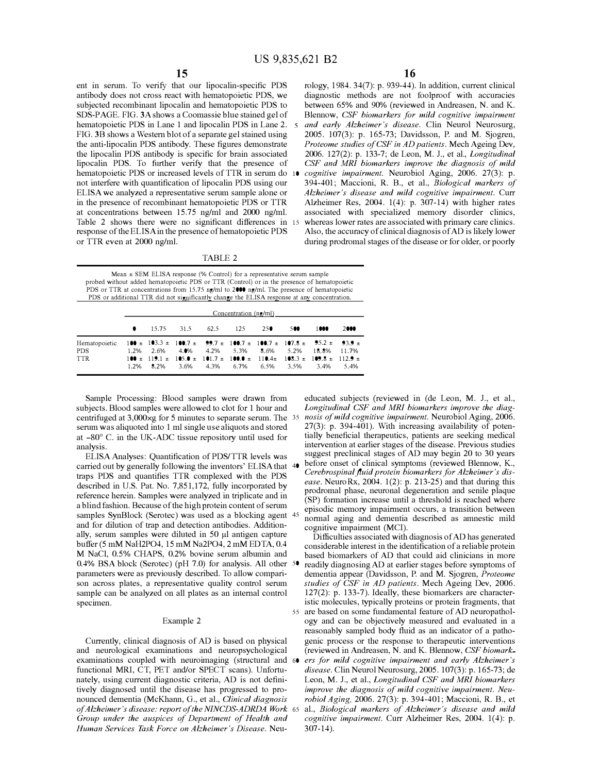5

ent in serum. To verify that our lipocalin-specific PDS antibody does not cross react with hematopoietic PDS, we subjected recombinant lipocalin and hematopoietic PDS to SDS-PAGE. FIG. 3A shows a Coomassie blue stained gel of hematopoietic PDS in Lane 1 and lipocalin PDS in Lane 2. FIG. 38 shows a Western blot of a separate gel stained using the anti-lipocalin PDS antibody. These figures demonstrate the lipocalin PDS antibody is specific for brain associated lipocalin PDS. To further verify that the presence of hematopoietic PDS or increased levels of TTR in serum do not interfere with quantification of lipocalin PDS using our ELISA we analyzed a representative serum sample alone or in the presence of recombinant hematopoietic PDS or TTR at concentrations between 15.75 ng/ml and 2000 ng/ml. Table 2 shows there were no significant differences in 15 response of the ELISA in the presence of hematopoietic PDS or TTR even at 2000 ng/ml.

16

rology, 1984. 34(7): p. 939-44). In addition, current clinical diagnostic methods are not foolproof with accuracies between 65% and 90% (reviewed in Andreasen, N. and K. Blennow, *CSP biomarkers for mild cognitive impairment*  and early Alzheimer's disease. Clin Neurol Neurosurg, 2005. 107(3): p. 165-73; Davidsson, P. and M. Sjogren, *Proteome studies of CSP in AD patients.* Mech Ageing Dev, 2006. 127(2): p. 133-7; de Leon, M. J., et al., *Longitudinal CSP and MRI biomarkers improve the diagnosis of mild cognitive impairment.* Neurobiol Aging, 2006. 27(3): p. 394-401; Maccioni, R. B., et al., *Biological markers of Alzheimer's disease and mild cognitive impairment.* Curr Alzheimer Res, 2004. 1(4): p. 307-14) with higher rates associated with specialized memory disorder clinics, whereas lower rates are associated with primary care clinics. Also, the accuracy of clinical diagnosis of AD is likely lower during prodromal stages of the disease or for older, or poorly

TABLE 2

Mean ± SEM ELISA response (% Control) for a representative serum sample probed without added hematopoietic PDS or TTR (Control) or in the presence of hematopoietic PDS or TTR at concentrations from 15.75 ng/ml to 2000 ng/ml. The presence of hematopoietic PDS or additional TTR did not significantly change the ELISA response at any concentration.

|                                                                                                                                                                                                                                                                                                                | Concentration $(ng/ml)$ |                                                                                                                                                                                                                                                                                                                                                                                            |  |  |  |     |      |      |
|----------------------------------------------------------------------------------------------------------------------------------------------------------------------------------------------------------------------------------------------------------------------------------------------------------------|-------------------------|--------------------------------------------------------------------------------------------------------------------------------------------------------------------------------------------------------------------------------------------------------------------------------------------------------------------------------------------------------------------------------------------|--|--|--|-----|------|------|
|                                                                                                                                                                                                                                                                                                                |                         | <b>0</b> 15.75 31.5 62.5 125 25                                                                                                                                                                                                                                                                                                                                                            |  |  |  | 500 | 1000 | 2000 |
| Hematopoietic $100 \pm 103.3 \pm 100.7 \pm 99.7 \pm 100.7 \pm 100.7 \pm 107.8 \pm 95.2 \pm 93.9 \pm 100.7 \pm 100.7 \pm 100.7 \pm 100.7 \pm 100.7 \pm 100.7 \pm 100.7 \pm 100.7 \pm 100.7 \pm 100.7 \pm 100.7 \pm 100.7 \pm 100.7 \pm 100.7 \pm 100.7 \pm 100.7 \pm 100.7 \pm 100$<br><b>PDS</b><br><b>TTR</b> |                         | $1.2\%$ 2.6% 4.0% 4.2% 5.3% 8.6% 5.2% 18.8% 11.7%<br>$100 \pm 119.1 \pm 105.0 \pm 101.7 \pm 100.0 \pm 110.4 \pm 108.3 \pm 109.8 \pm 112.9 \pm 100.0 \pm 100.0 \pm 100.0 \pm 100.0 \pm 100.0 \pm 100.0 \pm 100.0 \pm 100.0 \pm 100.0 \pm 100.0 \pm 100.0 \pm 100.0 \pm 100.0 \pm 100.0 \pm 100.0 \pm 100.0 \pm 100.0 \pm 100.0 \pm 100.0 \$<br>1.2% 8.2% 3.6% 4.3% 6.7% 6.5% 3.5% 3.4% 5.4% |  |  |  |     |      |      |

Sample Processing: Blood samples were drawn from subjects. Blood samples were allowed to clot for 1 hour and centrifuged at 3,000xg for 5 minutes to separate serum. The serum was aliquoted into 1 ml single use aliquots and stored at -80° C. in the UK-ADC tissue repository until used for analysis.

ELISA Analyses: Quantification of PDS/TTR levels was carried out by generally following the inventors' ELISA that traps PDS and quantifies TTR complexed with the PDS described in U.S. Pat. No. 7,851,172, fully incorporated by reference herein. Samples were analyzed in triplicate and in a blind fashion. Because of the high protein content of serum samples SynBlock (Serotec) was used as a blocking agent 45 and for dilution of trap and detection antibodies. Additionally, serum samples were diluted in 50 µl antigen capture buffer (5 mM NaH2P04, 15 mM Na2P04, 2 mM EDTA, 0.4 M NaCl, 0.5% CHAPS, 0.2% bovine serum albumin and 0.4% BSA block (Serotec) (pH 7.0) for analysis. All other parameters were as previously described. To allow comparison across plates, a representative quality control serum sample can be analyzed on all plates as an internal control specimen.

#### Example 2

Currently, clinical diagnosis of AD is based on physical and neurological examinations and neuropsychological examinations coupled with neuroimaging (structural and functional MRI, CT, PET and/or SPECT scans). Unfortunately, using current diagnostic criteria, AD is not definitively diagnosed until the disease has progressed to pronounced dementia (McKhann, G., et al., *Clinical diagnosis*  of Alzheimer's disease: report of the NINCDS-ADRDA Work *Group under the auspices of Department of Health and Human Services Task Force on Alzheimer's Disease.* Neu-

educated subjects (reviewed in (de Leon, M. J., et al., *Longitudinal CSP and MRI biomarkers improve the diag-*35 *nos is of mild cognitive impairment.* Neurobiol Aging, 2006. 27(3): p. 394-401). With increasing availability of potentially beneficial therapeutics, patients are seeking medical intervention at earlier stages of the disease. Previous studies suggest preclinical stages of AD may begin 20 to 30 years before onset of clinical symptoms (reviewed Blennow, K., *Cerebrospinal fluid protein biomarkers for Alzheimer's disease.* NeuroRx, 2004. 1(2): p. 213-25) and that during this prodromal phase, neuronal degeneration and senile plaque (SP) formation increase until a threshold is reached where episodic memory impairment occurs, a transition between normal aging and dementia described as amnestic mild cognitive impairment (MCI).

Difficulties associated with diagnosis of AD has generated considerable interest in the identification of a reliable protein based biomarkers of AD that could aid clinicians in more readily diagnosing AD at earlier stages before symptoms of dementia appear (Davidsson, P. and M. Sjogren, *Proteome studies of CSP in AD patients.* Mech Ageing Dev, 2006. 127(2): p. 133-7). Ideally, these biomarkers are characteristic molecules, typically proteins or protein fragments, that 55 are based on some fundamental feature of AD neuropathology and can be objectively measured and evaluated in a reasonably sampled body fluid as an indicator of a pathogenic process or the response to therapeutic interventions (reviewed in Andreasen, N. and K. Blennow, *CSP biomark* ers for mild cognitive impairment and early Alzheimer's *disease.* Clin Neural Neurosurg, 2005. 107(3): p. 165-73; de Leon, M. J., et al., *Longitudinal CSP and MRI biomarkers improve the diagnosis of mild cognitive impairment. Neurobiol Aging,* 2006. 27(3): p. 394-401; Maccioni, R. B., et 65 al., *Biological markers of Alzheimer's disease and mild cognitive impairment.* Curr Alzheimer Res, 2004. 1(4): p. 307-14).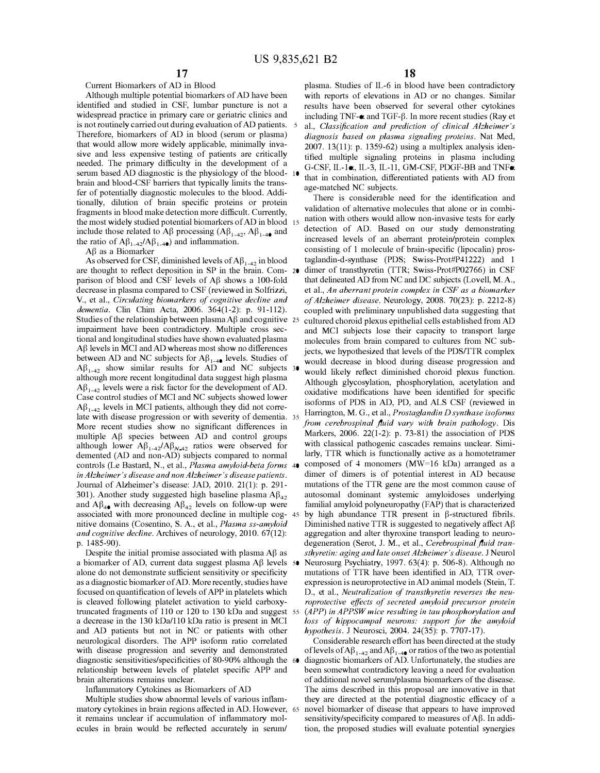Current Biomarkers of AD in Blood

Although multiple potential biomarkers of AD have been identified and studied in CSF, lumbar puncture is not a widespread practice in primary care or geriatric clinics and is not routinely carried out during evaluation of AD patients. 5 Therefore, biomarkers of AD in blood (serum or plasma) that would allow more widely applicable, minimally invasive and less expensive testing of patients are critically needed. The primary difficulty in the development of a serum based AD diagnostic is the physiology of the blood-10 brain and blood-CSP barriers that typically limits the transfer of potentially diagnostic molecules to the blood. Additionally, dilution of brain specific proteins or protein fragments in blood make detection more difficult. Currently, the most widely studied potential biomarkers of AD in blood 15 include those related to A $\beta$  processing (A $\beta_{1-42}$ , A $\beta_{1-4}$ ) and the ratio of  $A\beta_{1-42}/A\beta_{1-40}$  and inflammation.

 $A\beta$  as a Biomarker

As observed for CSF, diminished levels of  $A\beta_{1-42}$  in blood are thought to reflect deposition in SP in the brain. Com- 20 parison of blood and CSF levels of  $\overrightarrow{AB}$  shows a 100-fold decrease in plasma compared to CSF (reviewed in Solfrizzi, V., et al., *Circulating biomarkers of cognitive decline and dementia.* Clin Chim Acta, 2006. 364(1-2): p. 91-112). Studies of the relationship between plasma  $\overrightarrow{AB}$  and cognitive 25 impairment have been contradictory. Multiple cross sectional and longitudinal studies have shown evaluated plasma A� levels in MCI and AD whereas most show no differences between AD and NC subjects for  $A\beta_{1-4}$  levels. Studies of  $\mathbf{A}\beta_{1-42}$  show similar results for AD and NC subjects 30 although more recent longitudinal data suggest high plasma  $A\beta_{1-42}$  levels were a risk factor for the development of AD. Case control studies of MCI and NC subjects showed lower  $A\beta_{1-42}$  levels in MCI patients, although they did not correlate with disease progression or with severity of dementia. More recent studies show no significant differences in multiple A $\beta$  species between AD and control groups although lower  $A\beta_{1-4}$  / $A\beta_{N-4}$  ratios were observed for demented (AD and non-AD) subjects compared to normal controls (Le Bastard, N., et al., *Plasma amyloid-beta forms* 40 *in Alzheimer's disease and non Alzheimer's disease patients.*  Journal of Alzheimer's disease: JAD, 2010. 21(1): p. 291- 301). Another study suggested high baseline plasma  $A\beta_{42}$ and  $A\beta_{4\bullet}$  with decreasing  $A\beta_{42}$  levels on follow-up were associated with more pronounced decline in multiple cog- 45 nitive domains (Cosentino, S. A., et al., *Plasma ss-amyloid and cognitive decline.* Archives of neurology, 2010. 67(12): p. 1485-90).

Despite the initial promise associated with plasma  $A\beta$  as a biomarker of AD, current data suggest plasma A $\beta$  levels 50 alone do not demonstrate sufficient sensitivity or specificity as a diagnostic biomarker of AD. More recently, studies have focused on quantification of levels of APP in platelets which is cleaved following platelet activation to yield carboxytruncated fragments of 110 or 120 to 130 kDa and suggest 55 a decrease in the 130 kDa/110 kDa ratio is present in MCI and AD patients but not in NC or patients with other neurological disorders. The APP isoform ratio correlated with disease progression and severity and demonstrated diagnostic sensitivities/specificities of 80-90% although the 60 relationship between levels of platelet specific APP and brain alterations remains unclear.

Inflammatory Cytokines as Biomarkers of AD

Multiple studies show abnormal levels of various inflammatory cytokines in brain regions affected in AD. However, 65 it remains unclear if accumulation of inflammatory molecules in brain would be reflected accurately in serum/

plasma. Studies of IL-6 in blood have been contradictory with reports of elevations in AD or no changes. Similar results have been observed for several other cytokines including TNF- $\alpha$  and TGF- $\beta$ . In more recent studies (Ray et al., *Classification and prediction of clinical Alzheimer's diagnosis based on plasma signaling proteins.* Nat Med, 2007. 13(11): p. 1359-62) using a multiplex analysis identified multiple signaling proteins in plasma including G-CSF, IL-la, IL-3, IL-11, GM-CSF, PDGF-BB and TNFa that in combination, differentiated patients with AD from age-matched NC subjects.

There is considerable need for the identification and validation of alternative molecules that alone or in combination with others would allow non-invasive tests for early detection of AD. Based on our study demonstrating increased levels of an aberrant protein/protein complex consisting of 1 molecule of brain-specific (lipocalin) prostaglandin-d-synthase (PDS; Swiss-Prot#P41222) and 1 dimer of transthyretin (TTR; Swiss-Prot#P02766) in CSF that delineated AD from NC and DC subjects (Lovell, M.A., et al., *An aberrant protein complex in CSP as a biomarker of Alzheimer disease.* Neurology, 2008. 70(23): p. 2212-8) coupled with preliminary unpublished data suggesting that cultured choroid plexus epithelial cells established from AD and MCI subjects lose their capacity to transport large molecules from brain compared to cultures from NC subjects, we hypothesized that levels of the PDS/TTR complex would decrease in blood during disease progression and would likely reflect diminished choroid plexus function. Although glycosylation, phosphorylation, acetylation and oxidative modifications have been identified for specific isoforms of PDS in AD, PD, and ALS CSF (reviewed in <sup>35</sup>Harrington, M. G., et al., *Prostaglandin D synthase isoforms from cerebrospinal fluid vary with brain pathology.* Dis Markers, 2006. 22(1-2): p. 73-81) the association of PDS with classical pathogenic cascades remains unclear. Similarly, TTR which is functionally active as a homotetramer composed of 4 monomers (MW=16 kDa) arranged as a dimer of dimers is of potential interest in AD because mutations of the TTR gene are the most common cause of autosomal dominant systemic amyloidoses underlying familial amyloid polyneuropathy (FAP) that is characterized by high abundance TTR present in  $\beta$ -structured fibrils. Diminished native TTR is suggested to negatively affect  $A\beta$ aggregation and alter thyroxine transport leading to neurodegeneration (Serot, J. M., et al., *Cerebrospinal fluid transthyretin: aging and late onset Alzheimer's disease.* J Neural Neurosurg Psychiatry, 1997. 63(4): p. 506-8). Although no mutations of TTR have been identified in AD, TTR overexpression is neuroprotective in AD animal models (Stein, T. D., et al., *Neutralization of transthyretin reverses the neuroprotective effects of secreted amyloid precursor protein (APP) in APP SW mice resulting in tau phosphorylation and loss of hippocampal neurons: support for the amyloid hypothesis.* J Neurosci, 2004. 24(35): p. 7707-17).

Considerable research effort has been directed at the study of levels of  $A\beta_{1-42}$  and  $A\beta_{1-40}$  or ratios of the two as potential diagnostic biomarkers of AD. Unfortunately, the studies are been somewhat contradictory leaving a need for evaluation of additional novel serum/plasma biomarkers of the disease. The aims described in this proposal are innovative in that they are directed at the potential diagnostic efficacy of a novel biomarker of disease that appears to have improved sensitivity/specificity compared to measures of  $A\beta$ . In addition, the proposed studies will evaluate potential synergies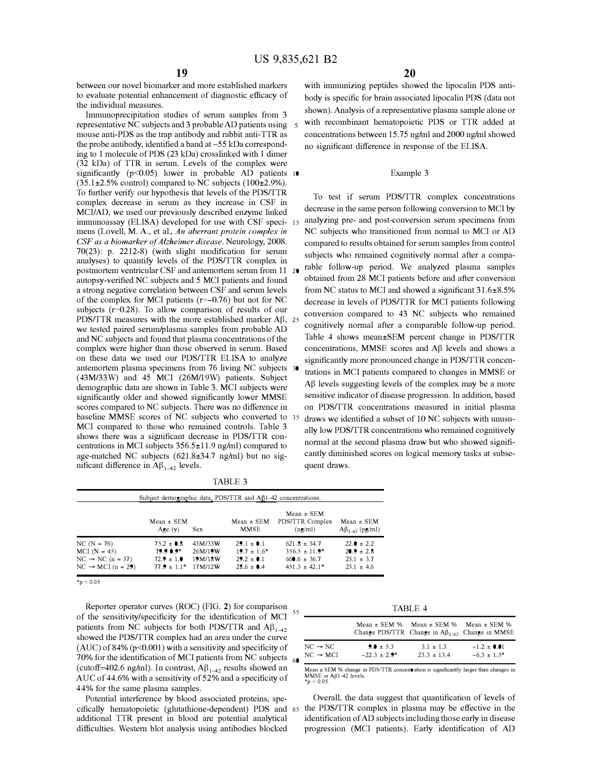between our novel biomarker and more established markers to evaluate potential enhancement of diagnostic efficacy of the individual measures.

Immunoprecipitation studies of serum samples from 3 representative NC subjects and 3 probable AD patients using mouse anti-PDS as the trap antibody and rabbit anti-TTR as the probe antibody, identified a band at  $\sim$  55 kDa corresponding to 1 molecule of PDS (23 kDa) crosslinked with 1 dimer (32 kDa) of TTR in serum. Levels of the complex were significantly ( $p$ <0.05) lower in probable AD patients 10  $(35.1\pm2.5\%$  control) compared to NC subjects  $(100\pm2.9\%).$ To further verify our hypothesis that levels of the PDS/TTR complex decrease in serum as they increase in CSF in MCI/AD, we used our previously described enzyme linked immunoassay (ELISA) developed for use with CSF specimens (Lovell, M. A., et al., *An aberrant protein complex in CSP as a biomarker of Alzheimer disease.* Neurology, 2008. 70(23): p. 2212-8) (with slight modification for serum analyses) to quantify levels of the PDS/TTR complex in postmortem ventricular CSF and antemortem serum from 11 autopsy-verified NC subjects and 5 MCI patients and found a strong negative correlation between CSF and serum levels of the complex for MCI patients (r=-0.76) but not for NC subjects (r=0.28). To allow comparison of results of our PDS/TTR measures with the more established marker  $A\beta$ , 25 we tested paired serum/plasma samples from probable AD and NC subjects and found that plasma concentrations of the complex were higher than those observed in serum. Based on these data we used our PDS/TTR ELISA to analyze significantly more pronounced change in PDS/TTR concenantemortem plasma specimens from 76 living NC subjects (43M/33W) and 45 MCI (26M/19W) patients. Subject demographic data are shown in Table 3. MCI subjects were significantly older and showed significantly lower MMSE scores compared to NC subjects. There was no difference in baseline MMSE scores of NC subjects who converted to 35 MCI compared to those who remained controls. Table 3 shows there was a significant decrease in PDS/TTR concentrations in MCI subjects 356.5±11.9 ng/ml) compared to age-matched NC subjects (621.8±34.7 ng/ml) but no sigmificant difference in  $A\beta_{1-42}$  levels.

with immunizing peptides showed the lipocalin PDS antibody is specific for brain associated lipocalin PDS (data not shown). Analysis of a representative plasma sample alone or with recombinant hematopoietic PDS or TTR added at concentrations between 15.75 ng/ml and 2000 ng/ml showed no significant difference in response of the ELISA.

#### Example 3

To test if serum PDS/TTR complex concentrations decrease in the same person following conversion to MCI by analyzing pre- and post-conversion serum specimens from NC subjects who transitioned from normal to MCI or AD compared to results obtained for serum samples from control subjects who remained cognitively normal after a comparable follow-up period. We analyzed plasma samples obtained from 28 MCI patients before and after conversion from NC status to MCI and showed a significant 31.6±8.5% decrease in levels of PDS/TTR for MCI patients following conversion compared to 43 NC subjects who remained cognitively normal after a comparable follow-up period. Table 4 shows mean±SEM percent change in PDS/TTR concentrations, MMSE scores and  $A\beta$  levels and shows a trations in MCI patients compared to changes in MMSE or  $\overrightarrow{AB}$  levels suggesting levels of the complex may be a more sensitive indicator of disease progression. In addition, based on PDS/TTR concentrations measured in initial plasma draws we identified a subset of 10 NC subjects with unusually low PDS/TTR concentrations who remained cognitively normal at the second plasma draw but who showed significantly diminished scores on logical memory tasks at subsequent draws.

| Subject demographic data, PDS/TTR and $A\beta$ 1-42 concentrations. |                               |                    |                                    |                                                      |                                           |  |
|---------------------------------------------------------------------|-------------------------------|--------------------|------------------------------------|------------------------------------------------------|-------------------------------------------|--|
|                                                                     | $Mean \pm SEM$<br>Age $(v)$   | <b>Sex</b>         | $Mean \pm SEM$<br>MMSE             | $Mean \pm SEM$<br>PDS/TTR Complex<br>$(n\epsilon/m)$ | $Mean \pm SEM$<br>$A\beta_{1-42}$ (pg/ml) |  |
| $NC(N = 76)$<br>$MCI (N = 45)$                                      | $75.2 \pm 0.8$<br>$79.9 0.9*$ | 43M/33W<br>26M/19W | $29.1 \pm 0.1$<br>$19.7 \pm 1.6^*$ | $621.8 \pm 34.7$<br>$356.5 \pm 11.9^*$               | $22.0 \pm 2.2$<br>$20.9 \pm 2.8$          |  |
| $NC \rightarrow NC (n = 37)$                                        | $72.9 \pm 1.0$                | 19M/18W            | $29.2 \pm 0.1$                     | $660.6 \pm 36.7$                                     | $23.1 \pm 3.7$                            |  |

 $451.3 \pm 42.1*$ 

 $23.1 \pm 4.6$ 

77.9  $\pm$  1.1\* 17M/12W 28.6  $\pm$  0.4

TABLE 3

 $*_{p}$  < 0.05

 $NC \rightarrow MCI (n = 29)$ 

Reporter operator curves (ROC) (FIG. 2) for comparison Exporter operator curves  $(KOC)$  (FiG. 2) for comparison<br>of the sensitivity/specificity for the identification of MCI patients from NC subjects for both PDS/TTR and  $A\beta_{1-42}$ showed the PDS/TTR complex had an area under the curve (AUC) of 84% ( $p$ <0.001) with a sensitivity and specificity of 70% for the identification of MCI patients from NC subjects  $60$ (cutoff=402.6 ng/ml). In contrast,  $A\beta_{1-42}$  results showed an AUC of 44.6% with a sensitivity of 52% and a specificity of 44% for the same plasma samples.

Potential interference by blood associated proteins, specifically hematopoietic (glutathione-dependent) PDS and 65 additional TTR present in blood are potential analytical difficulties. Western blot analysis using antibodies blocked

| ١BΙ |  |
|-----|--|
|-----|--|

|                      |               | Mean $\pm$ SEM % Mean $\pm$ SEM % Mean $\pm$ SEM % | Change PDS/TTR Change in $\mathbf{A}\beta_{1,42}$ Change in MMSE |
|----------------------|---------------|----------------------------------------------------|------------------------------------------------------------------|
| $NC \rightarrow NC$  | 9.0 $\pm$ 5.3 | $3.1 \pm 1.3$                                      | $-1.2 \pm 0.01$                                                  |
| $NC \rightarrow MCI$ | $-223 + 29*$  | $233 + 134$                                        | $-6.3 \pm 1.5^*$                                                 |

Mean  $\pm$  SEM % change in PDS/TTR concentration is significantly larger than changes in MMSE or A $\beta$ 1-42 levels.  $\gamma$ <sub>2</sub>

Overall, the data suggest that quantification of levels of the PDS/TTR complex in plasma may be effective in the identification of AD subjects including those early in disease progression (MCI patients). Early identification of AD